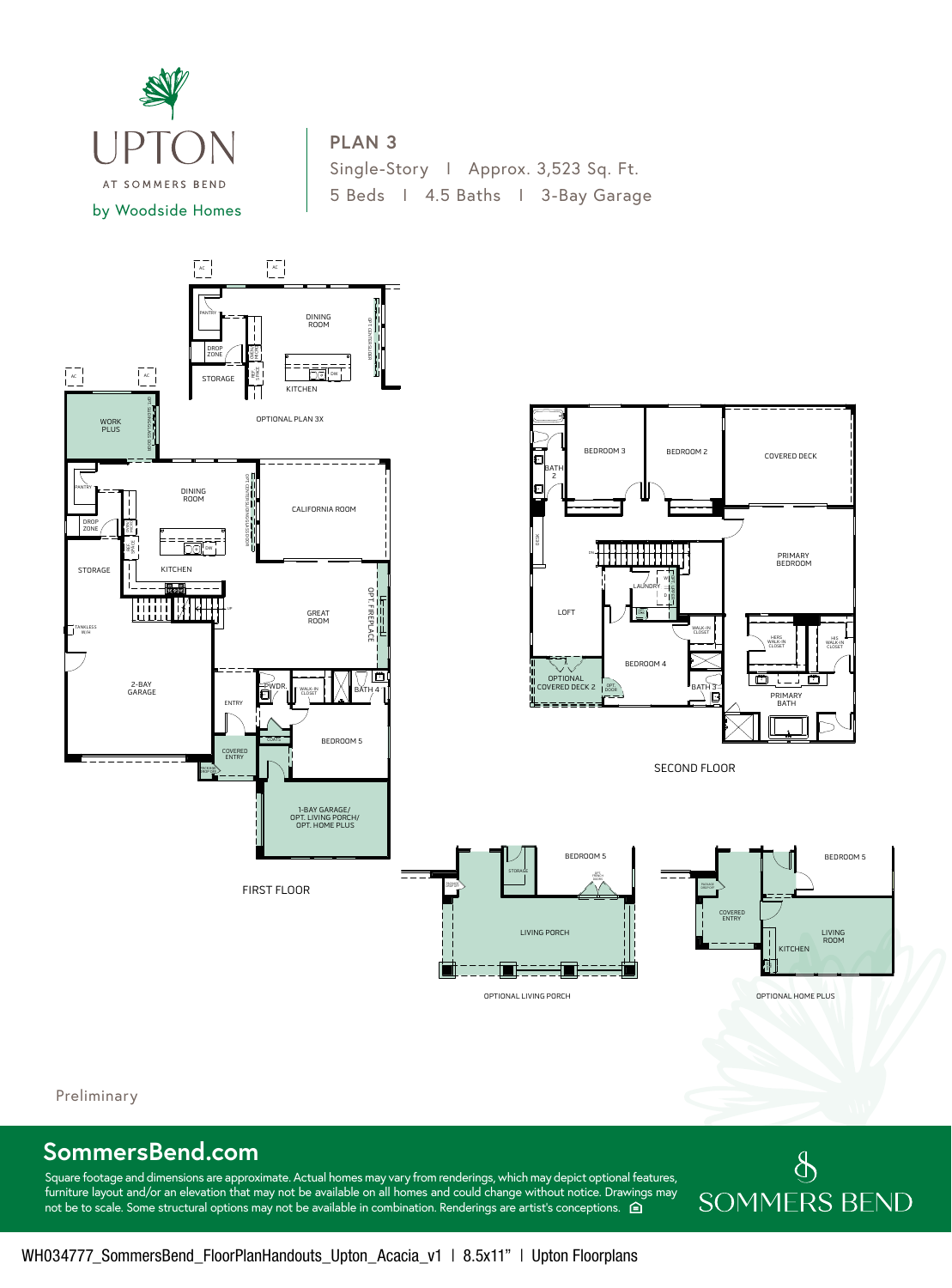

## **PLAN 3**

Single-Story I Approx. 3,523 Sq. Ft. 5 Beds I 4.5 Baths I 3-Bay Garage



Preliminary

## **SommersBend.com** 3

Square footage and dimensions are approximate. Actual homes may vary from renderings, which may depict optional features, furniture layout and/or an elevation that may not be available on all homes and could change without notice. Drawings may not be to scale. Some structural options may not be available in combination. Renderings are artist's conceptions.  $\hat{\Theta}$ 

## $\oint$ **SOMMERS BEND**